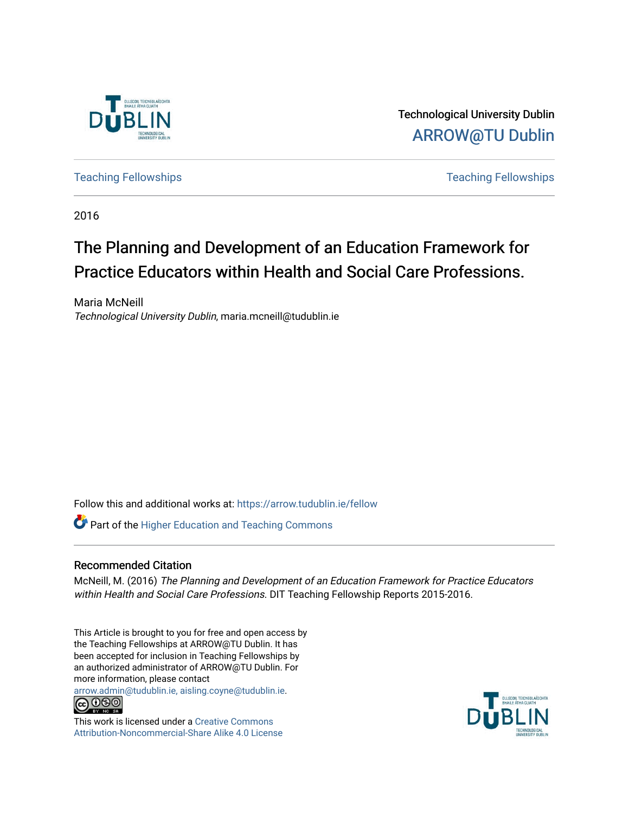

Technological University Dublin [ARROW@TU Dublin](https://arrow.tudublin.ie/) 

[Teaching Fellowships](https://arrow.tudublin.ie/fellow) [Teaching Fellowships](https://arrow.tudublin.ie/tfellowships) 

2016

# The Planning and Development of an Education Framework for Practice Educators within Health and Social Care Professions.

Maria McNeill Technological University Dublin, maria.mcneill@tudublin.ie

Follow this and additional works at: [https://arrow.tudublin.ie/fellow](https://arrow.tudublin.ie/fellow?utm_source=arrow.tudublin.ie%2Ffellow%2F58&utm_medium=PDF&utm_campaign=PDFCoverPages) 

**Part of the Higher Education and Teaching Commons** 

### Recommended Citation

McNeill, M. (2016) The Planning and Development of an Education Framework for Practice Educators within Health and Social Care Professions. DIT Teaching Fellowship Reports 2015-2016.

This Article is brought to you for free and open access by the Teaching Fellowships at ARROW@TU Dublin. It has been accepted for inclusion in Teaching Fellowships by an authorized administrator of ARROW@TU Dublin. For more information, please contact

[arrow.admin@tudublin.ie, aisling.coyne@tudublin.ie](mailto:arrow.admin@tudublin.ie,%20aisling.coyne@tudublin.ie).<br>
co 000



This work is licensed under a [Creative Commons](http://creativecommons.org/licenses/by-nc-sa/4.0/) [Attribution-Noncommercial-Share Alike 4.0 License](http://creativecommons.org/licenses/by-nc-sa/4.0/)

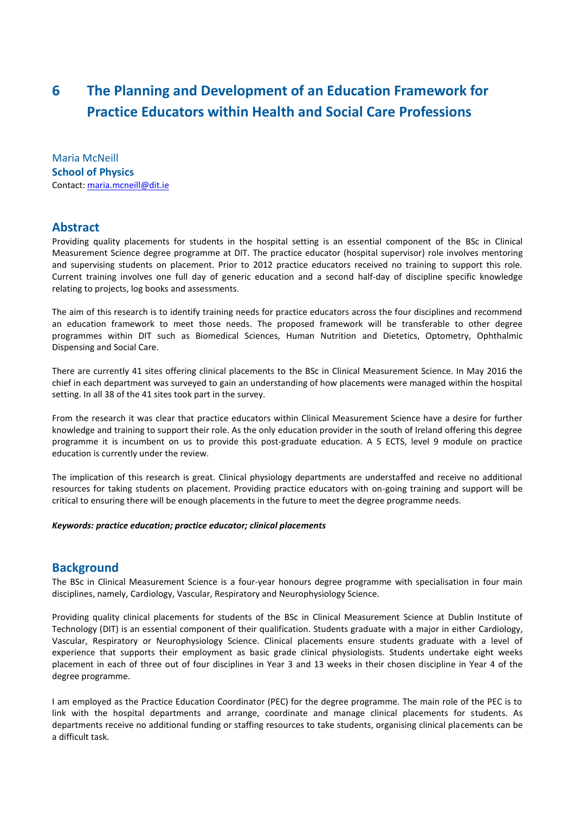# **6 The Planning and Development of an Education Framework for Practice Educators within Health and Social Care Professions**

Maria McNeill **School of Physics** Contact[: maria.mcneill@dit.ie](mailto:maria.mcneill@dit.ie)

## **Abstract**

Providing quality placements for students in the hospital setting is an essential component of the BSc in Clinical Measurement Science degree programme at DIT. The practice educator (hospital supervisor) role involves mentoring and supervising students on placement. Prior to 2012 practice educators received no training to support this role. Current training involves one full day of generic education and a second half-day of discipline specific knowledge relating to projects, log books and assessments.

The aim of this research is to identify training needs for practice educators across the four disciplines and recommend an education framework to meet those needs. The proposed framework will be transferable to other degree programmes within DIT such as Biomedical Sciences, Human Nutrition and Dietetics, Optometry, Ophthalmic Dispensing and Social Care.

There are currently 41 sites offering clinical placements to the BSc in Clinical Measurement Science. In May 2016 the chief in each department was surveyed to gain an understanding of how placements were managed within the hospital setting. In all 38 of the 41 sites took part in the survey.

From the research it was clear that practice educators within Clinical Measurement Science have a desire for further knowledge and training to support their role. As the only education provider in the south of Ireland offering this degree programme it is incumbent on us to provide this post-graduate education. A 5 ECTS, level 9 module on practice education is currently under the review.

The implication of this research is great. Clinical physiology departments are understaffed and receive no additional resources for taking students on placement. Providing practice educators with on-going training and support will be critical to ensuring there will be enough placements in the future to meet the degree programme needs.

#### *Keywords: practice education; practice educator; clinical placements*

## **Background**

The BSc in Clinical Measurement Science is a four-year honours degree programme with specialisation in four main disciplines, namely, Cardiology, Vascular, Respiratory and Neurophysiology Science.

Providing quality clinical placements for students of the BSc in Clinical Measurement Science at Dublin Institute of Technology (DIT) is an essential component of their qualification. Students graduate with a major in either Cardiology, Vascular, Respiratory or Neurophysiology Science. Clinical placements ensure students graduate with a level of experience that supports their employment as basic grade clinical physiologists. Students undertake eight weeks placement in each of three out of four disciplines in Year 3 and 13 weeks in their chosen discipline in Year 4 of the degree programme.

I am employed as the Practice Education Coordinator (PEC) for the degree programme. The main role of the PEC is to link with the hospital departments and arrange, coordinate and manage clinical placements for students. As departments receive no additional funding or staffing resources to take students, organising clinical placements can be a difficult task.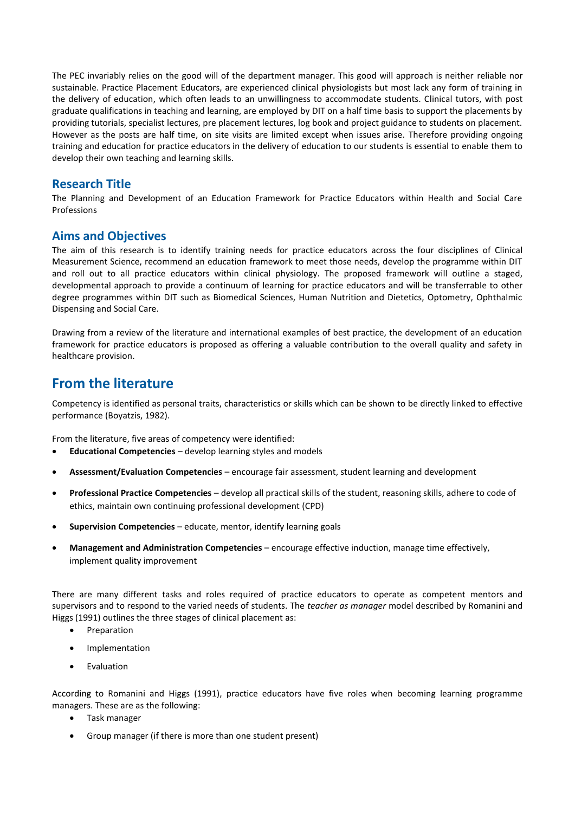The PEC invariably relies on the good will of the department manager. This good will approach is neither reliable nor sustainable. Practice Placement Educators, are experienced clinical physiologists but most lack any form of training in the delivery of education, which often leads to an unwillingness to accommodate students. Clinical tutors, with post graduate qualifications in teaching and learning, are employed by DIT on a half time basis to support the placements by providing tutorials, specialist lectures, pre placement lectures, log book and project guidance to students on placement. However as the posts are half time, on site visits are limited except when issues arise. Therefore providing ongoing training and education for practice educators in the delivery of education to our students is essential to enable them to develop their own teaching and learning skills.

## **Research Title**

The Planning and Development of an Education Framework for Practice Educators within Health and Social Care **Professions** 

## **Aims and Objectives**

The aim of this research is to identify training needs for practice educators across the four disciplines of Clinical Measurement Science, recommend an education framework to meet those needs, develop the programme within DIT and roll out to all practice educators within clinical physiology. The proposed framework will outline a staged, developmental approach to provide a continuum of learning for practice educators and will be transferrable to other degree programmes within DIT such as Biomedical Sciences, Human Nutrition and Dietetics, Optometry, Ophthalmic Dispensing and Social Care.

Drawing from a review of the literature and international examples of best practice, the development of an education framework for practice educators is proposed as offering a valuable contribution to the overall quality and safety in healthcare provision.

# **From the literature**

Competency is identified as personal traits, characteristics or skills which can be shown to be directly linked to effective performance (Boyatzis, 1982).

From the literature, five areas of competency were identified:

- **Educational Competencies**  develop learning styles and models
- **Assessment/Evaluation Competencies**  encourage fair assessment, student learning and development
- **Professional Practice Competencies**  develop all practical skills of the student, reasoning skills, adhere to code of ethics, maintain own continuing professional development (CPD)
- **Supervision Competencies**  educate, mentor, identify learning goals
- **Management and Administration Competencies**  encourage effective induction, manage time effectively, implement quality improvement

There are many different tasks and roles required of practice educators to operate as competent mentors and supervisors and to respond to the varied needs of students. The *teacher as manager* model described by Romanini and Higgs (1991) outlines the three stages of clinical placement as:

- Preparation
- **•** Implementation
- Evaluation

According to Romanini and Higgs (1991), practice educators have five roles when becoming learning programme managers. These are as the following:

- Task manager
- Group manager (if there is more than one student present)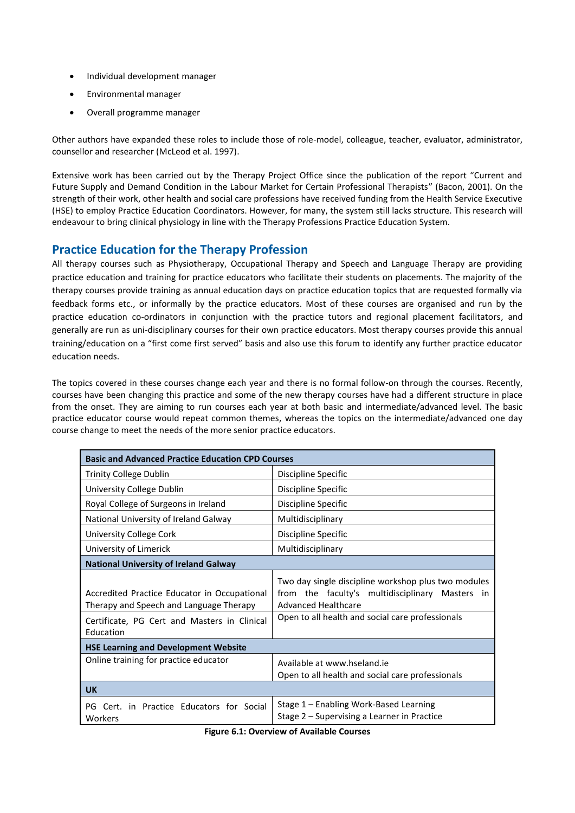- Individual development manager
- Environmental manager
- Overall programme manager

Other authors have expanded these roles to include those of role-model, colleague, teacher, evaluator, administrator, counsellor and researcher (McLeod et al. 1997).

Extensive work has been carried out by the Therapy Project Office since the publication of the report "Current and Future Supply and Demand Condition in the Labour Market for Certain Professional Therapists" (Bacon, 2001). On the strength of their work, other health and social care professions have received funding from the Health Service Executive (HSE) to employ Practice Education Coordinators. However, for many, the system still lacks structure. This research will endeavour to bring clinical physiology in line with the Therapy Professions Practice Education System.

# **Practice Education for the Therapy Profession**

All therapy courses such as Physiotherapy, Occupational Therapy and Speech and Language Therapy are providing practice education and training for practice educators who facilitate their students on placements. The majority of the therapy courses provide training as annual education days on practice education topics that are requested formally via feedback forms etc., or informally by the practice educators. Most of these courses are organised and run by the practice education co-ordinators in conjunction with the practice tutors and regional placement facilitators, and generally are run as uni-disciplinary courses for their own practice educators. Most therapy courses provide this annual training/education on a "first come first served" basis and also use this forum to identify any further practice educator education needs.

The topics covered in these courses change each year and there is no formal follow-on through the courses. Recently, courses have been changing this practice and some of the new therapy courses have had a different structure in place from the onset. They are aiming to run courses each year at both basic and intermediate/advanced level. The basic practice educator course would repeat common themes, whereas the topics on the intermediate/advanced one day course change to meet the needs of the more senior practice educators.

| <b>Basic and Advanced Practice Education CPD Courses</b>                                |                                                                                                                                  |
|-----------------------------------------------------------------------------------------|----------------------------------------------------------------------------------------------------------------------------------|
| <b>Trinity College Dublin</b>                                                           | Discipline Specific                                                                                                              |
| University College Dublin                                                               | Discipline Specific                                                                                                              |
| Royal College of Surgeons in Ireland                                                    | Discipline Specific                                                                                                              |
| National University of Ireland Galway                                                   | Multidisciplinary                                                                                                                |
| University College Cork                                                                 | Discipline Specific                                                                                                              |
| University of Limerick                                                                  | Multidisciplinary                                                                                                                |
| <b>National University of Ireland Galway</b>                                            |                                                                                                                                  |
| Accredited Practice Educator in Occupational<br>Therapy and Speech and Language Therapy | Two day single discipline workshop plus two modules<br>from the faculty's multidisciplinary Masters<br>in<br>Advanced Healthcare |
| Certificate, PG Cert and Masters in Clinical<br>Education                               | Open to all health and social care professionals                                                                                 |
| <b>HSE Learning and Development Website</b>                                             |                                                                                                                                  |
| Online training for practice educator                                                   | Available at www.hseland.ie<br>Open to all health and social care professionals                                                  |
| <b>UK</b>                                                                               |                                                                                                                                  |
| Cert. in Practice Educators for Social<br>PG.<br>Workers                                | Stage 1 – Enabling Work-Based Learning<br>Stage 2 – Supervising a Learner in Practice                                            |

**Figure 6.1: Overview of Available Courses**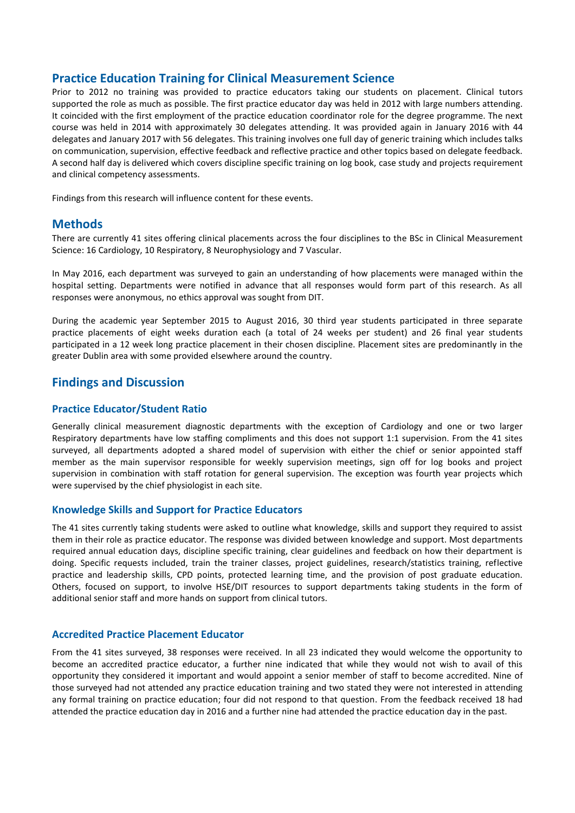# **Practice Education Training for Clinical Measurement Science**

Prior to 2012 no training was provided to practice educators taking our students on placement. Clinical tutors supported the role as much as possible. The first practice educator day was held in 2012 with large numbers attending. It coincided with the first employment of the practice education coordinator role for the degree programme. The next course was held in 2014 with approximately 30 delegates attending. It was provided again in January 2016 with 44 delegates and January 2017 with 56 delegates. This training involves one full day of generic training which includes talks on communication, supervision, effective feedback and reflective practice and other topics based on delegate feedback. A second half day is delivered which covers discipline specific training on log book, case study and projects requirement and clinical competency assessments.

Findings from this research will influence content for these events.

### **Methods**

There are currently 41 sites offering clinical placements across the four disciplines to the BSc in Clinical Measurement Science: 16 Cardiology, 10 Respiratory, 8 Neurophysiology and 7 Vascular.

In May 2016, each department was surveyed to gain an understanding of how placements were managed within the hospital setting. Departments were notified in advance that all responses would form part of this research. As all responses were anonymous, no ethics approval was sought from DIT.

During the academic year September 2015 to August 2016, 30 third year students participated in three separate practice placements of eight weeks duration each (a total of 24 weeks per student) and 26 final year students participated in a 12 week long practice placement in their chosen discipline. Placement sites are predominantly in the greater Dublin area with some provided elsewhere around the country.

## **Findings and Discussion**

#### **Practice Educator/Student Ratio**

Generally clinical measurement diagnostic departments with the exception of Cardiology and one or two larger Respiratory departments have low staffing compliments and this does not support 1:1 supervision. From the 41 sites surveyed, all departments adopted a shared model of supervision with either the chief or senior appointed staff member as the main supervisor responsible for weekly supervision meetings, sign off for log books and project supervision in combination with staff rotation for general supervision. The exception was fourth year projects which were supervised by the chief physiologist in each site.

#### **Knowledge Skills and Support for Practice Educators**

The 41 sites currently taking students were asked to outline what knowledge, skills and support they required to assist them in their role as practice educator. The response was divided between knowledge and support. Most departments required annual education days, discipline specific training, clear guidelines and feedback on how their department is doing. Specific requests included, train the trainer classes, project guidelines, research/statistics training, reflective practice and leadership skills, CPD points, protected learning time, and the provision of post graduate education. Others, focused on support, to involve HSE/DIT resources to support departments taking students in the form of additional senior staff and more hands on support from clinical tutors.

#### **Accredited Practice Placement Educator**

From the 41 sites surveyed, 38 responses were received. In all 23 indicated they would welcome the opportunity to become an accredited practice educator, a further nine indicated that while they would not wish to avail of this opportunity they considered it important and would appoint a senior member of staff to become accredited. Nine of those surveyed had not attended any practice education training and two stated they were not interested in attending any formal training on practice education; four did not respond to that question. From the feedback received 18 had attended the practice education day in 2016 and a further nine had attended the practice education day in the past.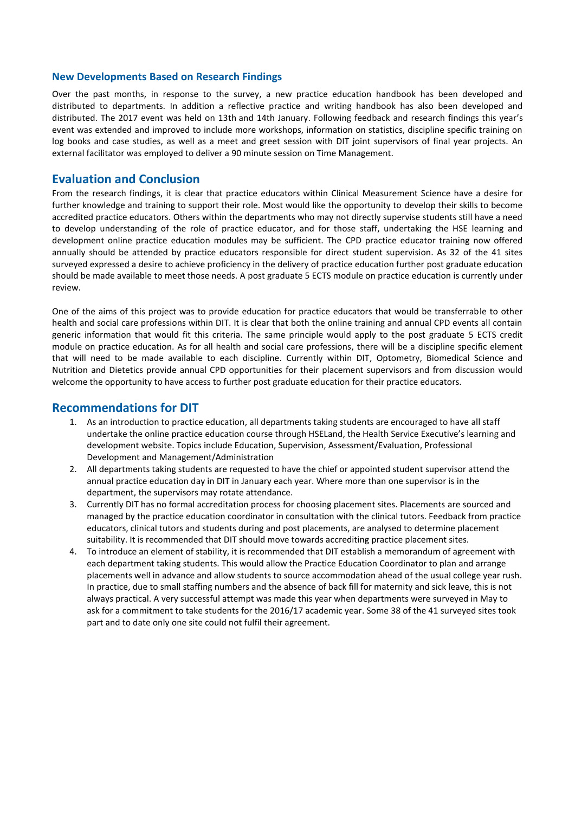#### **New Developments Based on Research Findings**

Over the past months, in response to the survey, a new practice education handbook has been developed and distributed to departments. In addition a reflective practice and writing handbook has also been developed and distributed. The 2017 event was held on 13th and 14th January. Following feedback and research findings this year's event was extended and improved to include more workshops, information on statistics, discipline specific training on log books and case studies, as well as a meet and greet session with DIT joint supervisors of final year projects. An external facilitator was employed to deliver a 90 minute session on Time Management.

#### **Evaluation and Conclusion**

From the research findings, it is clear that practice educators within Clinical Measurement Science have a desire for further knowledge and training to support their role. Most would like the opportunity to develop their skills to become accredited practice educators. Others within the departments who may not directly supervise students still have a need to develop understanding of the role of practice educator, and for those staff, undertaking the HSE learning and development online practice education modules may be sufficient. The CPD practice educator training now offered annually should be attended by practice educators responsible for direct student supervision. As 32 of the 41 sites surveyed expressed a desire to achieve proficiency in the delivery of practice education further post graduate education should be made available to meet those needs. A post graduate 5 ECTS module on practice education is currently under review.

One of the aims of this project was to provide education for practice educators that would be transferrable to other health and social care professions within DIT. It is clear that both the online training and annual CPD events all contain generic information that would fit this criteria. The same principle would apply to the post graduate 5 ECTS credit module on practice education. As for all health and social care professions, there will be a discipline specific element that will need to be made available to each discipline. Currently within DIT, Optometry, Biomedical Science and Nutrition and Dietetics provide annual CPD opportunities for their placement supervisors and from discussion would welcome the opportunity to have access to further post graduate education for their practice educators.

#### **Recommendations for DIT**

- 1. As an introduction to practice education, all departments taking students are encouraged to have all staff undertake the online practice education course through HSELand, the Health Service Executive's learning and development website. Topics include Education, Supervision, Assessment/Evaluation, Professional Development and Management/Administration
- 2. All departments taking students are requested to have the chief or appointed student supervisor attend the annual practice education day in DIT in January each year. Where more than one supervisor is in the department, the supervisors may rotate attendance.
- 3. Currently DIT has no formal accreditation process for choosing placement sites. Placements are sourced and managed by the practice education coordinator in consultation with the clinical tutors. Feedback from practice educators, clinical tutors and students during and post placements, are analysed to determine placement suitability. It is recommended that DIT should move towards accrediting practice placement sites.
- 4. To introduce an element of stability, it is recommended that DIT establish a memorandum of agreement with each department taking students. This would allow the Practice Education Coordinator to plan and arrange placements well in advance and allow students to source accommodation ahead of the usual college year rush. In practice, due to small staffing numbers and the absence of back fill for maternity and sick leave, this is not always practical. A very successful attempt was made this year when departments were surveyed in May to ask for a commitment to take students for the 2016/17 academic year. Some 38 of the 41 surveyed sites took part and to date only one site could not fulfil their agreement.